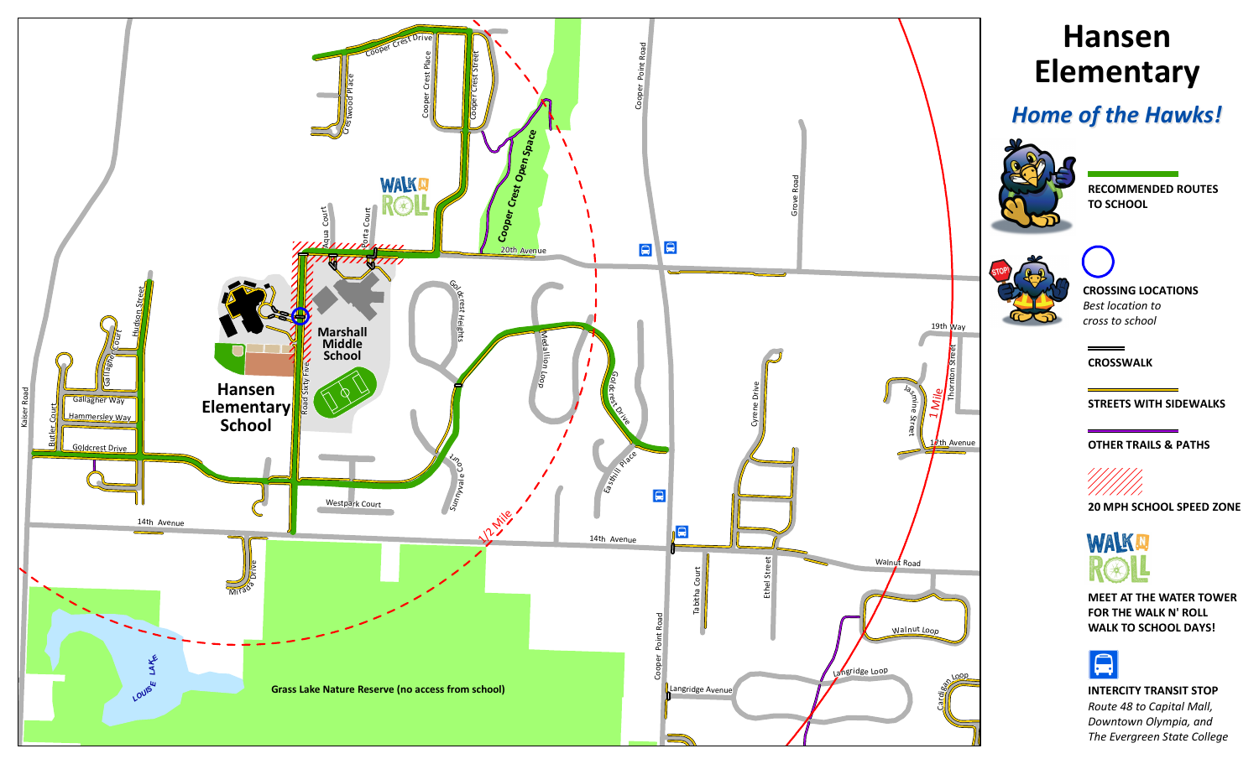